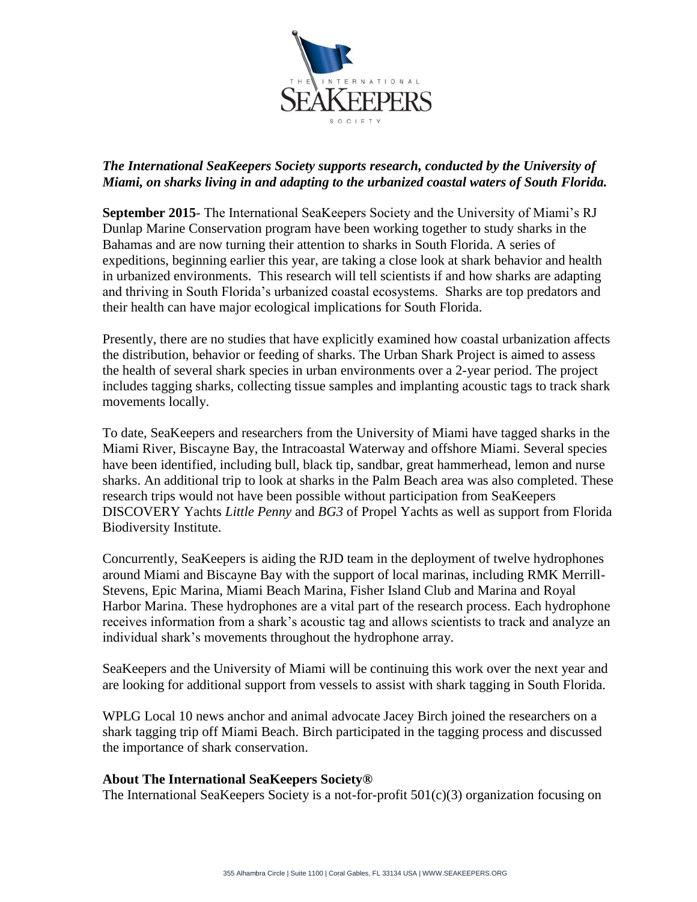

## *The International SeaKeepers Society supports research, conducted by the University of Miami, on sharks living in and adapting to the urbanized coastal waters of South Florida.*

**September 2015**- The International SeaKeepers Society and the University of Miami's RJ Dunlap Marine Conservation program have been working together to study sharks in the Bahamas and are now turning their attention to sharks in South Florida. A series of expeditions, beginning earlier this year, are taking a close look at shark behavior and health in urbanized environments. This research will tell scientists if and how sharks are adapting and thriving in South Florida's urbanized coastal ecosystems. Sharks are top predators and their health can have major ecological implications for South Florida.

Presently, there are no studies that have explicitly examined how coastal urbanization affects the distribution, behavior or feeding of sharks. The Urban Shark Project is aimed to assess the health of several shark species in urban environments over a 2-year period. The project includes tagging sharks, collecting tissue samples and implanting acoustic tags to track shark movements locally.

To date, SeaKeepers and researchers from the University of Miami have tagged sharks in the Miami River, Biscayne Bay, the Intracoastal Waterway and offshore Miami. Several species have been identified, including bull, black tip, sandbar, great hammerhead, lemon and nurse sharks. An additional trip to look at sharks in the Palm Beach area was also completed. These research trips would not have been possible without participation from SeaKeepers DISCOVERY Yachts *Little Penny* and *BG3* of Propel Yachts as well as support from Florida Biodiversity Institute.

Concurrently, SeaKeepers is aiding the RJD team in the deployment of twelve hydrophones around Miami and Biscayne Bay with the support of local marinas, including RMK Merrill-Stevens, Epic Marina, Miami Beach Marina, Fisher Island Club and Marina and Royal Harbor Marina. These hydrophones are a vital part of the research process. Each hydrophone receives information from a shark's acoustic tag and allows scientists to track and analyze an individual shark's movements throughout the hydrophone array.

SeaKeepers and the University of Miami will be continuing this work over the next year and are looking for additional support from vessels to assist with shark tagging in South Florida.

WPLG Local 10 news anchor and animal advocate Jacey Birch joined the researchers on a shark tagging trip off Miami Beach. Birch participated in the tagging process and discussed the importance of shark conservation.

## **About The International SeaKeepers Society®**

The International SeaKeepers Society is a not-for-profit 501(c)(3) organization focusing on